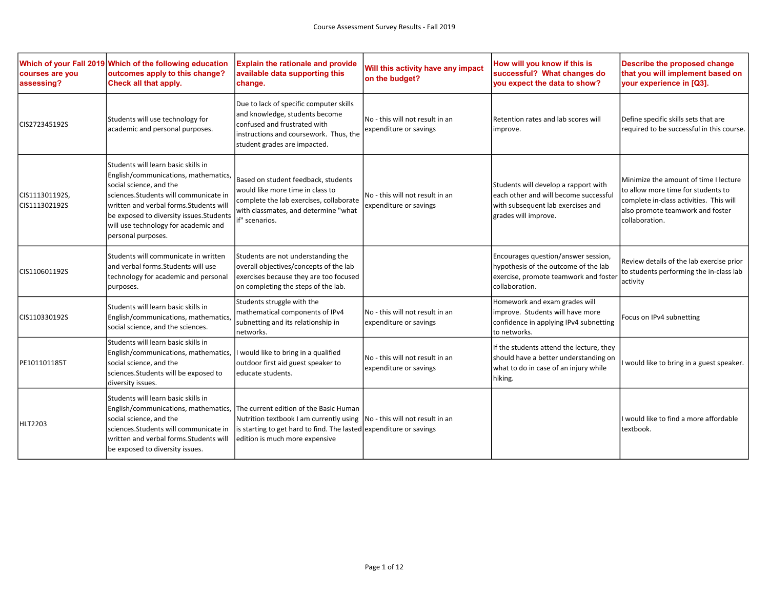| courses are you<br>assessing?   | Which of your Fall 2019 Which of the following education<br>outcomes apply to this change?<br>Check all that apply.                                                                                                                                                                                  | <b>Explain the rationale and provide</b><br>available data supporting this<br>change.                                                                                                                                      | Will this activity have any impact<br>on the budget?      | How will you know if this is<br>successful? What changes do<br>you expect the data to show?                                                | Describe the proposed change<br>that you will implement based on<br>your experience in [Q3].                                                                                 |
|---------------------------------|------------------------------------------------------------------------------------------------------------------------------------------------------------------------------------------------------------------------------------------------------------------------------------------------------|----------------------------------------------------------------------------------------------------------------------------------------------------------------------------------------------------------------------------|-----------------------------------------------------------|--------------------------------------------------------------------------------------------------------------------------------------------|------------------------------------------------------------------------------------------------------------------------------------------------------------------------------|
| CIS272345192S                   | Students will use technology for<br>academic and personal purposes.                                                                                                                                                                                                                                  | Due to lack of specific computer skills<br>and knowledge, students become<br>confused and frustrated with<br>instructions and coursework. Thus, the<br>student grades are impacted.                                        | No - this will not result in an<br>expenditure or savings | Retention rates and lab scores will<br>improve.                                                                                            | Define specific skills sets that are<br>required to be successful in this course.                                                                                            |
| CIS111301192S,<br>CIS111302192S | Students will learn basic skills in<br>English/communications, mathematics,<br>social science, and the<br>sciences.Students will communicate in<br>written and verbal forms. Students will<br>be exposed to diversity issues. Students<br>will use technology for academic and<br>personal purposes. | Based on student feedback, students<br>would like more time in class to<br>complete the lab exercises, collaborate<br>with classmates, and determine "what<br>if" scenarios.                                               | No - this will not result in an<br>expenditure or savings | Students will develop a rapport with<br>each other and will become successful<br>with subsequent lab exercises and<br>grades will improve. | Minimize the amount of time I lecture<br>to allow more time for students to<br>complete in-class activities. This will<br>also promote teamwork and foster<br>collaboration. |
| CIS110601192S                   | Students will communicate in written<br>and verbal forms. Students will use<br>technology for academic and personal<br>purposes.                                                                                                                                                                     | Students are not understanding the<br>overall objectives/concepts of the lab<br>exercises because they are too focused<br>on completing the steps of the lab.                                                              |                                                           | Encourages question/answer session,<br>hypothesis of the outcome of the lab<br>exercise, promote teamwork and foster<br>collaboration.     | Review details of the lab exercise prior<br>to students performing the in-class lab<br>activity                                                                              |
| CIS110330192S                   | Students will learn basic skills in<br>English/communications, mathematics,<br>social science, and the sciences.                                                                                                                                                                                     | Students struggle with the<br>mathematical components of IPv4<br>subnetting and its relationship in<br>networks.                                                                                                           | No - this will not result in an<br>expenditure or savings | Homework and exam grades will<br>improve. Students will have more<br>confidence in applying IPv4 subnetting<br>to networks.                | Focus on IPv4 subnetting                                                                                                                                                     |
| PE101101185T                    | lStudents will learn basic skills in<br>English/communications, mathematics,<br>social science, and the<br>sciences. Students will be exposed to<br>diversity issues.                                                                                                                                | I would like to bring in a qualified<br>outdoor first aid guest speaker to<br>educate students.                                                                                                                            | No - this will not result in an<br>expenditure or savings | If the students attend the lecture, they<br>should have a better understanding on<br>what to do in case of an injury while<br>hiking.      | I would like to bring in a guest speaker.                                                                                                                                    |
| <b>HLT2203</b>                  | Students will learn basic skills in<br>English/communications, mathematics,<br>social science, and the<br>sciences. Students will communicate in<br>written and verbal forms. Students will<br>be exposed to diversity issues.                                                                       | The current edition of the Basic Human<br>Nutrition textbook I am currently using  No - this will not result in an<br>is starting to get hard to find. The lasted expenditure or savings<br>edition is much more expensive |                                                           |                                                                                                                                            | I would like to find a more affordable<br>textbook.                                                                                                                          |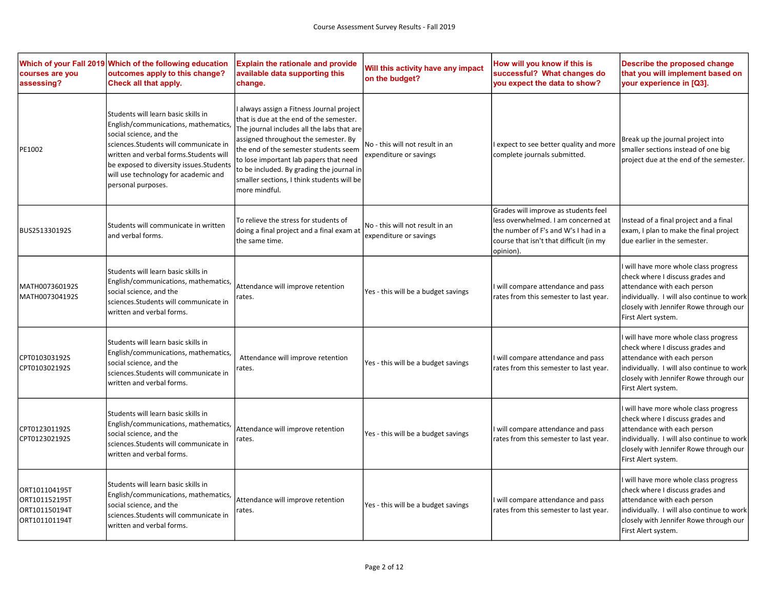| courses are you<br>assessing?                                    | Which of your Fall 2019 Which of the following education<br>outcomes apply to this change?<br>Check all that apply.                                                                                                                                                                                   | <b>Explain the rationale and provide</b><br>available data supporting this<br>change.                                                                                                                                                                                                                                                                                   | Will this activity have any impact<br>on the budget?      | How will you know if this is<br>successful? What changes do<br>you expect the data to show?                                                                                 | Describe the proposed change<br>that you will implement based on<br>your experience in [Q3].                                                                                                                            |
|------------------------------------------------------------------|-------------------------------------------------------------------------------------------------------------------------------------------------------------------------------------------------------------------------------------------------------------------------------------------------------|-------------------------------------------------------------------------------------------------------------------------------------------------------------------------------------------------------------------------------------------------------------------------------------------------------------------------------------------------------------------------|-----------------------------------------------------------|-----------------------------------------------------------------------------------------------------------------------------------------------------------------------------|-------------------------------------------------------------------------------------------------------------------------------------------------------------------------------------------------------------------------|
| PE1002                                                           | Students will learn basic skills in<br>English/communications, mathematics,<br>social science, and the<br>sciences. Students will communicate in<br>written and verbal forms. Students will<br>be exposed to diversity issues. Students<br>will use technology for academic and<br>personal purposes. | always assign a Fitness Journal project<br>that is due at the end of the semester.<br>The journal includes all the labs that are<br>assigned throughout the semester. By<br>the end of the semester students seem<br>to lose important lab papers that need<br>to be included. By grading the journal in<br>smaller sections, I think students will be<br>more mindful. | No - this will not result in an<br>expenditure or savings | I expect to see better quality and more<br>complete journals submitted.                                                                                                     | Break up the journal project into<br>smaller sections instead of one big<br>project due at the end of the semester.                                                                                                     |
| BUS251330192S                                                    | Students will communicate in written<br>and verbal forms.                                                                                                                                                                                                                                             | To relieve the stress for students of<br>doing a final project and a final exam at<br>the same time.                                                                                                                                                                                                                                                                    | No - this will not result in an<br>expenditure or savings | Grades will improve as students feel<br>less overwhelmed. I am concerned at<br>the number of F's and W's I had in a<br>course that isn't that difficult (in my<br>opinion). | Instead of a final project and a final<br>exam, I plan to make the final project<br>due earlier in the semester.                                                                                                        |
| MATH007360192S<br>MATH007304192S                                 | Students will learn basic skills in<br>English/communications, mathematics,<br>social science, and the<br>sciences. Students will communicate in<br>written and verbal forms.                                                                                                                         | Attendance will improve retention<br>rates.                                                                                                                                                                                                                                                                                                                             | Yes - this will be a budget savings                       | I will compare attendance and pass<br>rates from this semester to last year.                                                                                                | I will have more whole class progress<br>check where I discuss grades and<br>attendance with each person<br>individually. I will also continue to work<br>closely with Jennifer Rowe through our<br>First Alert system. |
| CPT010303192S<br>CPT010302192S                                   | Students will learn basic skills in<br>English/communications, mathematics,<br>social science, and the<br>sciences. Students will communicate in<br>written and verbal forms.                                                                                                                         | Attendance will improve retention<br>rates.                                                                                                                                                                                                                                                                                                                             | Yes - this will be a budget savings                       | I will compare attendance and pass<br>rates from this semester to last year.                                                                                                | I will have more whole class progress<br>check where I discuss grades and<br>attendance with each person<br>individually. I will also continue to work<br>closely with Jennifer Rowe through our<br>First Alert system. |
| CPT012301192S<br>CPT012302192S                                   | Students will learn basic skills in<br>English/communications, mathematics,<br>social science, and the<br>sciences. Students will communicate in<br>written and verbal forms.                                                                                                                         | Attendance will improve retention<br>rates.                                                                                                                                                                                                                                                                                                                             | Yes - this will be a budget savings                       | I will compare attendance and pass<br>rates from this semester to last year.                                                                                                | I will have more whole class progress<br>check where I discuss grades and<br>attendance with each person<br>individually. I will also continue to work<br>closely with Jennifer Rowe through our<br>First Alert system. |
| ORT101104195T<br>ORT101152195T<br>ORT101150194T<br>ORT101101194T | Students will learn basic skills in<br>English/communications, mathematics,<br>social science, and the<br>sciences. Students will communicate in<br>written and verbal forms.                                                                                                                         | Attendance will improve retention<br>rates.                                                                                                                                                                                                                                                                                                                             | Yes - this will be a budget savings                       | I will compare attendance and pass<br>rates from this semester to last year.                                                                                                | I will have more whole class progress<br>check where I discuss grades and<br>attendance with each person<br>individually. I will also continue to work<br>closely with Jennifer Rowe through our<br>First Alert system. |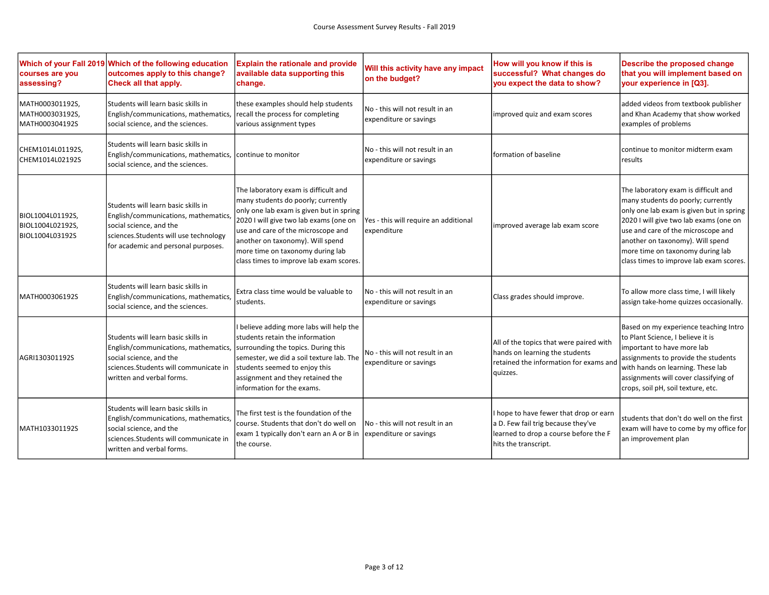| courses are you<br>assessing?                           | Which of your Fall 2019 Which of the following education<br>outcomes apply to this change?<br>Check all that apply.                                                                    | <b>Explain the rationale and provide</b><br>available data supporting this<br>change.                                                                                                                                                                                                                                     | Will this activity have any impact<br>on the budget?       | How will you know if this is<br>successful? What changes do<br>you expect the data to show?                                                   | Describe the proposed change<br>that you will implement based on<br>your experience in [Q3].                                                                                                                                                                                                                              |
|---------------------------------------------------------|----------------------------------------------------------------------------------------------------------------------------------------------------------------------------------------|---------------------------------------------------------------------------------------------------------------------------------------------------------------------------------------------------------------------------------------------------------------------------------------------------------------------------|------------------------------------------------------------|-----------------------------------------------------------------------------------------------------------------------------------------------|---------------------------------------------------------------------------------------------------------------------------------------------------------------------------------------------------------------------------------------------------------------------------------------------------------------------------|
| MATH000301192S,<br>MATH000303192S,<br>MATH000304192S    | Students will learn basic skills in<br>English/communications, mathematics,<br>social science, and the sciences.                                                                       | these examples should help students<br>recall the process for completing<br>various assignment types                                                                                                                                                                                                                      | No - this will not result in an<br>expenditure or savings  | improved quiz and exam scores                                                                                                                 | added videos from textbook publisher<br>and Khan Academy that show worked<br>examples of problems                                                                                                                                                                                                                         |
| CHEM1014L01192S,<br>CHEM1014L02192S                     | Students will learn basic skills in<br>English/communications, mathematics,<br>social science, and the sciences.                                                                       | continue to monitor                                                                                                                                                                                                                                                                                                       | lNo - this will not result in an<br>expenditure or savings | formation of baseline                                                                                                                         | continue to monitor midterm exam<br>results                                                                                                                                                                                                                                                                               |
| BIOL1004L01192S,<br>BIOL1004L02192S,<br>BIOL1004L03192S | Students will learn basic skills in<br>English/communications, mathematics,<br>social science, and the<br>sciences.Students will use technology<br>for academic and personal purposes. | The laboratory exam is difficult and<br>many students do poorly; currently<br>only one lab exam is given but in spring<br>2020 I will give two lab exams (one on<br>use and care of the microscope and<br>another on taxonomy). Will spend<br>more time on taxonomy during lab<br>class times to improve lab exam scores. | Yes - this will require an additional<br>expenditure       | improved average lab exam score                                                                                                               | The laboratory exam is difficult and<br>many students do poorly; currently<br>only one lab exam is given but in spring<br>2020 I will give two lab exams (one on<br>use and care of the microscope and<br>another on taxonomy). Will spend<br>more time on taxonomy during lab<br>class times to improve lab exam scores. |
| MATH000306192S                                          | Students will learn basic skills in<br>English/communications, mathematics,<br>social science, and the sciences.                                                                       | Extra class time would be valuable to<br>students.                                                                                                                                                                                                                                                                        | No - this will not result in an<br>expenditure or savings  | Class grades should improve.                                                                                                                  | To allow more class time, I will likely<br>assign take-home quizzes occasionally.                                                                                                                                                                                                                                         |
| AGRI130301192S                                          | Students will learn basic skills in<br>English/communications, mathematics,<br>social science, and the<br>lsciences.Students will communicate in<br>written and verbal forms.          | I believe adding more labs will help the<br>students retain the information<br>surrounding the topics. During this<br>semester, we did a soil texture lab. The<br>students seemed to enjoy this<br>assignment and they retained the<br>information for the exams.                                                         | No - this will not result in an<br>expenditure or savings  | All of the topics that were paired with<br>hands on learning the students<br>retained the information for exams and<br>quizzes.               | Based on my experience teaching Intro<br>to Plant Science, I believe it is<br>important to have more lab<br>assignments to provide the students<br>with hands on learning. These lab<br>assignments will cover classifying of<br>crops, soil pH, soil texture, etc.                                                       |
| MATH103301192S                                          | Students will learn basic skills in<br>English/communications, mathematics,<br>social science, and the<br>sciences. Students will communicate in<br>written and verbal forms.          | The first test is the foundation of the<br>course. Students that don't do well on<br>exam 1 typically don't earn an A or B in lexpenditure or savings<br>the course.                                                                                                                                                      | No - this will not result in an                            | I hope to have fewer that drop or earn<br>a D. Few fail trig because they've<br>learned to drop a course before the F<br>hits the transcript. | students that don't do well on the first<br>exam will have to come by my office for<br>an improvement plan                                                                                                                                                                                                                |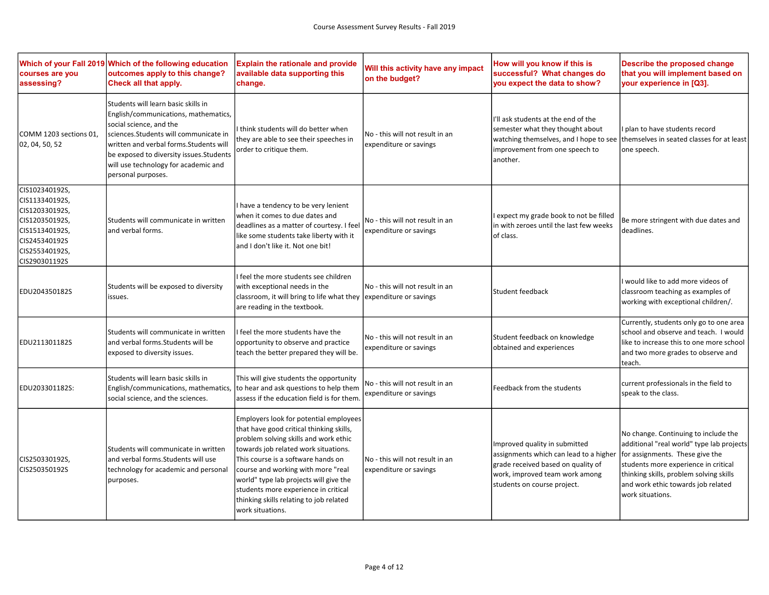| courses are you<br>assessing?                                                                                                              | Which of your Fall 2019 Which of the following education<br>outcomes apply to this change?<br>Check all that apply.                                                                                                                                                                                   | <b>Explain the rationale and provide</b><br>available data supporting this<br>change.                                                                                                                                                                                                                                                                                                            | Will this activity have any impact<br>on the budget?      | How will you know if this is<br>successful? What changes do<br>you expect the data to show?                                                                                    | Describe the proposed change<br>that you will implement based on<br>your experience in [Q3].                                                                                                                                                                      |
|--------------------------------------------------------------------------------------------------------------------------------------------|-------------------------------------------------------------------------------------------------------------------------------------------------------------------------------------------------------------------------------------------------------------------------------------------------------|--------------------------------------------------------------------------------------------------------------------------------------------------------------------------------------------------------------------------------------------------------------------------------------------------------------------------------------------------------------------------------------------------|-----------------------------------------------------------|--------------------------------------------------------------------------------------------------------------------------------------------------------------------------------|-------------------------------------------------------------------------------------------------------------------------------------------------------------------------------------------------------------------------------------------------------------------|
| COMM 1203 sections 01,<br>02, 04, 50, 52                                                                                                   | Students will learn basic skills in<br>English/communications, mathematics,<br>social science, and the<br>sciences. Students will communicate in<br>written and verbal forms. Students will<br>be exposed to diversity issues. Students<br>will use technology for academic and<br>personal purposes. | think students will do better when<br>they are able to see their speeches in<br>order to critique them.                                                                                                                                                                                                                                                                                          | No - this will not result in an<br>expenditure or savings | I'll ask students at the end of the<br>semester what they thought about<br>watching themselves, and I hope to see<br>improvement from one speech to<br>another.                | plan to have students record<br>Ithemselves in seated classes for at least<br>one speech.                                                                                                                                                                         |
| CIS102340192S,<br>CIS113340192S,<br>CIS120330192S,<br>CIS120350192S,<br>CIS151340192S,<br>CIS245340192S<br>CIS255340192S,<br>CIS290301192S | Students will communicate in written<br>and verbal forms.                                                                                                                                                                                                                                             | have a tendency to be very lenient<br>when it comes to due dates and<br>deadlines as a matter of courtesy. I feel<br>like some students take liberty with it<br>and I don't like it. Not one bit!                                                                                                                                                                                                | No - this will not result in an<br>expenditure or savings | expect my grade book to not be filled<br>in with zeroes until the last few weeks<br>of class.                                                                                  | Be more stringent with due dates and<br>deadlines.                                                                                                                                                                                                                |
| EDU204350182S                                                                                                                              | Students will be exposed to diversity<br>issues.                                                                                                                                                                                                                                                      | feel the more students see children<br>with exceptional needs in the<br>classroom, it will bring to life what they<br>are reading in the textbook.                                                                                                                                                                                                                                               | No - this will not result in an<br>expenditure or savings | Student feedback                                                                                                                                                               | would like to add more videos of<br>classroom teaching as examples of<br>working with exceptional children/.                                                                                                                                                      |
| EDU211301182S                                                                                                                              | Students will communicate in written<br>and verbal forms. Students will be<br>exposed to diversity issues.                                                                                                                                                                                            | feel the more students have the<br>opportunity to observe and practice<br>teach the better prepared they will be.                                                                                                                                                                                                                                                                                | No - this will not result in an<br>expenditure or savings | Student feedback on knowledge<br>obtained and experiences                                                                                                                      | Currently, students only go to one area<br>school and observe and teach. I would<br>like to increase this to one more school<br>and two more grades to observe and<br>teach.                                                                                      |
| EDU203301182S:                                                                                                                             | Students will learn basic skills in<br>English/communications, mathematics,<br>social science, and the sciences.                                                                                                                                                                                      | This will give students the opportunity<br>to hear and ask questions to help them<br>assess if the education field is for them.                                                                                                                                                                                                                                                                  | No - this will not result in an<br>expenditure or savings | Feedback from the students                                                                                                                                                     | current professionals in the field to<br>speak to the class.                                                                                                                                                                                                      |
| CIS250330192S,<br>CIS250350192S                                                                                                            | Students will communicate in written<br>and verbal forms. Students will use<br>technology for academic and personal<br>purposes.                                                                                                                                                                      | Employers look for potential employees<br>that have good critical thinking skills,<br>problem solving skills and work ethic<br>towards job related work situations.<br>This course is a software hands on<br>course and working with more "real<br>world" type lab projects will give the<br>students more experience in critical<br>thinking skills relating to job related<br>work situations. | No - this will not result in an<br>expenditure or savings | Improved quality in submitted<br>assignments which can lead to a higher<br>grade received based on quality of<br>work, improved team work among<br>students on course project. | No change. Continuing to include the<br>additional "real world" type lab projects<br>for assignments. These give the<br>students more experience in critical<br>thinking skills, problem solving skills<br>and work ethic towards job related<br>work situations. |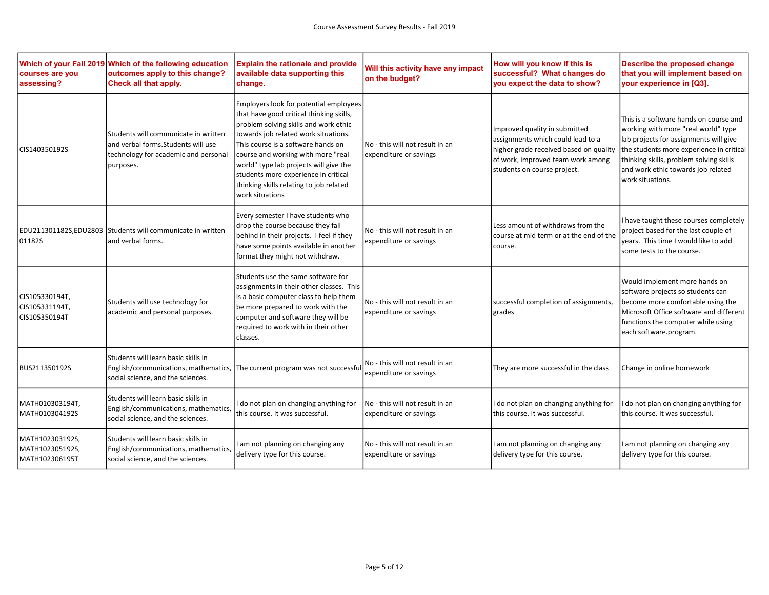| courses are you<br>assessing?                        | Which of your Fall 2019 Which of the following education<br>outcomes apply to this change?<br>Check all that apply.              | <b>Explain the rationale and provide</b><br>available data supporting this<br>change.                                                                                                                                                                                                                                                                                                           | Will this activity have any impact<br>on the budget?      | How will you know if this is<br>successful? What changes do<br>you expect the data to show?                                                                                      | Describe the proposed change<br>that you will implement based on<br>your experience in [Q3].                                                                                                                                                                             |
|------------------------------------------------------|----------------------------------------------------------------------------------------------------------------------------------|-------------------------------------------------------------------------------------------------------------------------------------------------------------------------------------------------------------------------------------------------------------------------------------------------------------------------------------------------------------------------------------------------|-----------------------------------------------------------|----------------------------------------------------------------------------------------------------------------------------------------------------------------------------------|--------------------------------------------------------------------------------------------------------------------------------------------------------------------------------------------------------------------------------------------------------------------------|
| CIS140350192S                                        | Students will communicate in written<br>and verbal forms. Students will use<br>technology for academic and personal<br>purposes. | Employers look for potential employees<br>that have good critical thinking skills,<br>problem solving skills and work ethic<br>towards job related work situations.<br>This course is a software hands on<br>course and working with more "real<br>world" type lab projects will give the<br>students more experience in critical<br>thinking skills relating to job related<br>work situations | No - this will not result in an<br>expenditure or savings | Improved quality in submitted<br>assignments which could lead to a<br>higher grade received based on quality<br>of work, improved team work among<br>students on course project. | This is a software hands on course and<br>working with more "real world" type<br>lab projects for assignments will give<br>the students more experience in critical<br>thinking skills, problem solving skills<br>and work ethic towards job related<br>work situations. |
| 01182S                                               | EDU211301182S,EDU2803 Students will communicate in written<br>and verbal forms.                                                  | Every semester I have students who<br>drop the course because they fall<br>behind in their projects. I feel if they<br>have some points available in another<br>format they might not withdraw.                                                                                                                                                                                                 | No - this will not result in an<br>expenditure or savings | Less amount of withdraws from the<br>course at mid term or at the end of the<br>course.                                                                                          | I have taught these courses completely<br>project based for the last couple of<br>years. This time I would like to add<br>some tests to the course.                                                                                                                      |
| CIS105330194T,<br>CIS105331194T,<br>CIS105350194T    | Students will use technology for<br>academic and personal purposes.                                                              | Students use the same software for<br>assignments in their other classes. This<br>is a basic computer class to help them<br>be more prepared to work with the<br>computer and software they will be<br>required to work with in their other<br>classes.                                                                                                                                         | No - this will not result in an<br>expenditure or savings | successful completion of assignments,<br>grades                                                                                                                                  | Would implement more hands on<br>software projects so students can<br>become more comfortable using the<br>Microsoft Office software and different  <br>functions the computer while using<br>each software.program.                                                     |
| BUS211350192S                                        | Students will learn basic skills in<br>English/communications, mathematics,<br>social science, and the sciences.                 | The current program was not successful                                                                                                                                                                                                                                                                                                                                                          | No - this will not result in an<br>expenditure or savings | They are more successful in the class                                                                                                                                            | Change in online homework                                                                                                                                                                                                                                                |
| MATH010303194T,<br>MATH010304192S                    | Students will learn basic skills in<br>English/communications, mathematics,<br>social science, and the sciences.                 | do not plan on changing anything for<br>this course. It was successful.                                                                                                                                                                                                                                                                                                                         | No - this will not result in an<br>expenditure or savings | I do not plan on changing anything for<br>this course. It was successful.                                                                                                        | I do not plan on changing anything for<br>this course. It was successful.                                                                                                                                                                                                |
| MATH102303192S,<br>MATH102305192S,<br>MATH102306195T | Students will learn basic skills in<br>English/communications, mathematics,<br>social science, and the sciences.                 | am not planning on changing any<br>delivery type for this course.                                                                                                                                                                                                                                                                                                                               | No - this will not result in an<br>expenditure or savings | I am not planning on changing any<br>delivery type for this course.                                                                                                              | I am not planning on changing any<br>delivery type for this course.                                                                                                                                                                                                      |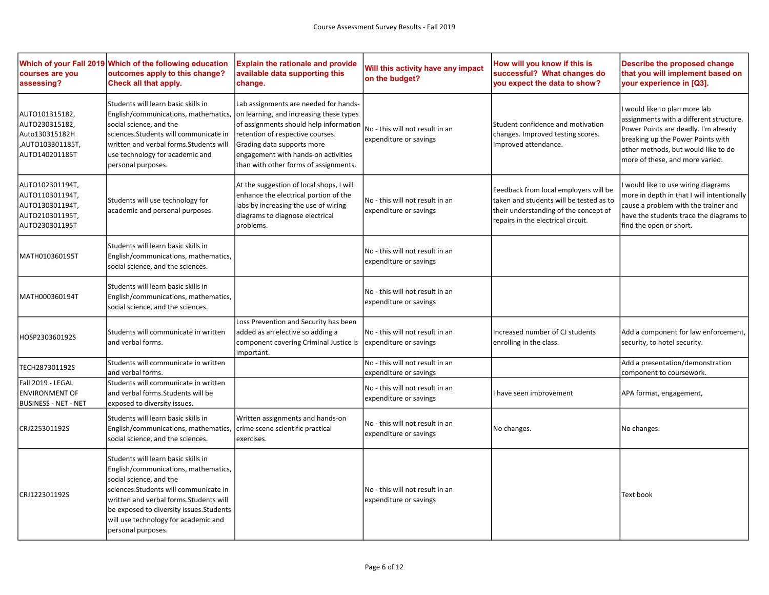| courses are you<br>assessing?                                                              | Which of your Fall 2019 Which of the following education<br>outcomes apply to this change?<br>Check all that apply.                                                                                                                                                                                   | <b>Explain the rationale and provide</b><br>available data supporting this<br>change.                                                                                                                                                                                        | Will this activity have any impact<br>on the budget?      | How will you know if this is<br>successful? What changes do<br>you expect the data to show?                                                                     | Describe the proposed change<br>that you will implement based on<br>your experience in [Q3].                                                                                                                                  |
|--------------------------------------------------------------------------------------------|-------------------------------------------------------------------------------------------------------------------------------------------------------------------------------------------------------------------------------------------------------------------------------------------------------|------------------------------------------------------------------------------------------------------------------------------------------------------------------------------------------------------------------------------------------------------------------------------|-----------------------------------------------------------|-----------------------------------------------------------------------------------------------------------------------------------------------------------------|-------------------------------------------------------------------------------------------------------------------------------------------------------------------------------------------------------------------------------|
| AUTO101315182,<br>AUTO230315182,<br>Auto130315182H<br>,AUTO103301185T,<br>AUTO140201185T   | Students will learn basic skills in<br>English/communications, mathematics,<br>social science, and the<br>sciences. Students will communicate in<br>written and verbal forms. Students will<br>use technology for academic and<br>personal purposes.                                                  | Lab assignments are needed for hands-<br>on learning, and increasing these types<br>of assignments should help information<br>retention of respective courses.<br>Grading data supports more<br>engagement with hands-on activities<br>than with other forms of assignments. | No - this will not result in an<br>expenditure or savings | Student confidence and motivation<br>changes. Improved testing scores.<br>Improved attendance.                                                                  | would like to plan more lab<br>assignments with a different structure.<br>Power Points are deadly. I'm already<br>breaking up the Power Points with<br>other methods, but would like to do<br>more of these, and more varied. |
| AUTO102301194T,<br>AUTO110301194T,<br>AUTO130301194T,<br>AUTO210301195T,<br>AUTO230301195T | Students will use technology for<br>academic and personal purposes.                                                                                                                                                                                                                                   | At the suggestion of local shops, I will<br>enhance the electrical portion of the<br>labs by increasing the use of wiring<br>diagrams to diagnose electrical<br>problems.                                                                                                    | No - this will not result in an<br>expenditure or savings | Feedback from local employers will be<br>taken and students will be tested as to<br>their understanding of the concept of<br>repairs in the electrical circuit. | would like to use wiring diagrams<br>more in depth in that I will intentionally<br>cause a problem with the trainer and<br>have the students trace the diagrams to<br>find the open or short.                                 |
| MATH010360195T                                                                             | Students will learn basic skills in<br>English/communications, mathematics,<br>social science, and the sciences.                                                                                                                                                                                      |                                                                                                                                                                                                                                                                              | No - this will not result in an<br>expenditure or savings |                                                                                                                                                                 |                                                                                                                                                                                                                               |
| MATH000360194T                                                                             | Students will learn basic skills in<br>English/communications, mathematics,<br>social science, and the sciences.                                                                                                                                                                                      |                                                                                                                                                                                                                                                                              | No - this will not result in an<br>expenditure or savings |                                                                                                                                                                 |                                                                                                                                                                                                                               |
| HOSP230360192S                                                                             | Students will communicate in written<br>and verbal forms.                                                                                                                                                                                                                                             | Loss Prevention and Security has been<br>added as an elective so adding a<br>component covering Criminal Justice is<br>important.                                                                                                                                            | No - this will not result in an<br>expenditure or savings | Increased number of CJ students<br>enrolling in the class.                                                                                                      | Add a component for law enforcement,<br>security, to hotel security.                                                                                                                                                          |
| TECH287301192S                                                                             | Students will communicate in written<br>and verbal forms.                                                                                                                                                                                                                                             |                                                                                                                                                                                                                                                                              | No - this will not result in an<br>expenditure or savings |                                                                                                                                                                 | Add a presentation/demonstration<br>component to coursework.                                                                                                                                                                  |
| Fall 2019 - LEGAL<br><b>ENVIRONMENT OF</b><br><b>BUSINESS - NET - NET</b>                  | Students will communicate in written<br>and verbal forms. Students will be<br>exposed to diversity issues.                                                                                                                                                                                            |                                                                                                                                                                                                                                                                              | No - this will not result in an<br>expenditure or savings | I have seen improvement                                                                                                                                         | APA format, engagement,                                                                                                                                                                                                       |
| CRJ225301192S                                                                              | Students will learn basic skills in<br>English/communications, mathematics,<br>social science, and the sciences.                                                                                                                                                                                      | Written assignments and hands-on<br>crime scene scientific practical<br>exercises.                                                                                                                                                                                           | No - this will not result in an<br>expenditure or savings | No changes.                                                                                                                                                     | No changes.                                                                                                                                                                                                                   |
| CRJ122301192S                                                                              | Students will learn basic skills in<br>English/communications, mathematics,<br>social science, and the<br>sciences. Students will communicate in<br>written and verbal forms. Students will<br>be exposed to diversity issues. Students<br>will use technology for academic and<br>personal purposes. |                                                                                                                                                                                                                                                                              | No - this will not result in an<br>expenditure or savings |                                                                                                                                                                 | <b>Text book</b>                                                                                                                                                                                                              |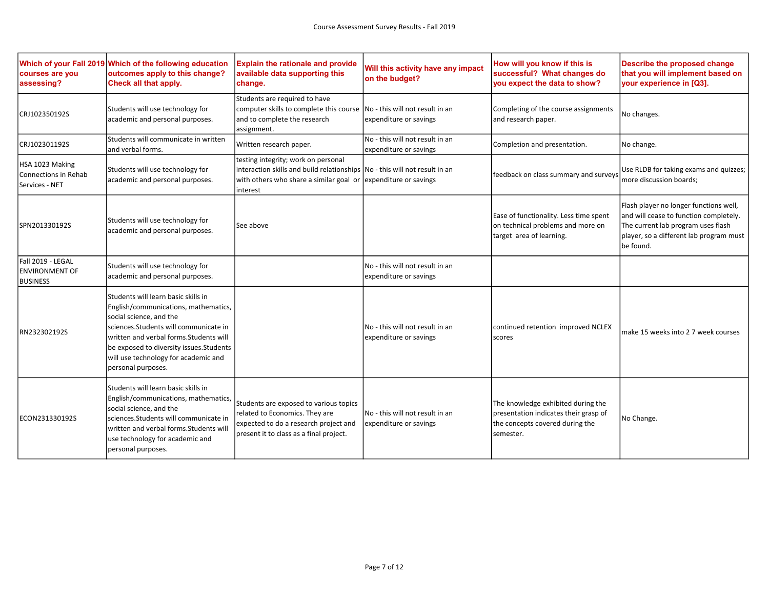| courses are you<br>assessing?                                 | Which of your Fall 2019 Which of the following education<br>outcomes apply to this change?<br>Check all that apply.                                                                                                                                                                                   | <b>Explain the rationale and provide</b><br>available data supporting this<br>change.                                                                                                           | Will this activity have any impact<br>on the budget?       | How will you know if this is<br>successful? What changes do<br>you expect the data to show?                                 | Describe the proposed change<br>that you will implement based on<br>your experience in [Q3].                                                                                   |
|---------------------------------------------------------------|-------------------------------------------------------------------------------------------------------------------------------------------------------------------------------------------------------------------------------------------------------------------------------------------------------|-------------------------------------------------------------------------------------------------------------------------------------------------------------------------------------------------|------------------------------------------------------------|-----------------------------------------------------------------------------------------------------------------------------|--------------------------------------------------------------------------------------------------------------------------------------------------------------------------------|
| CRJ102350192S                                                 | Students will use technology for<br>academic and personal purposes.                                                                                                                                                                                                                                   | Students are required to have<br>computer skills to complete this course<br>and to complete the research<br>assignment.                                                                         | INo - this will not result in an<br>expenditure or savings | Completing of the course assignments<br>and research paper.                                                                 | No changes.                                                                                                                                                                    |
| CRJ102301192S                                                 | Students will communicate in written<br>and verbal forms.                                                                                                                                                                                                                                             | Written research paper.                                                                                                                                                                         | No - this will not result in an<br>expenditure or savings  | Completion and presentation.                                                                                                | No change.                                                                                                                                                                     |
| HSA 1023 Making<br>Connections in Rehab<br>Services - NET     | Students will use technology for<br>academic and personal purposes.                                                                                                                                                                                                                                   | testing integrity; work on personal<br>interaction skills and build relationships No - this will not result in an<br>with others who share a similar goal or expenditure or savings<br>interest |                                                            | feedback on class summary and surveys                                                                                       | Use RLDB for taking exams and quizzes;<br>more discussion boards;                                                                                                              |
| SPN201330192S                                                 | Students will use technology for<br>academic and personal purposes.                                                                                                                                                                                                                                   | See above                                                                                                                                                                                       |                                                            | Ease of functionality. Less time spent<br>on technical problems and more on<br>target area of learning.                     | Flash player no longer functions well,<br>and will cease to function completely.<br>The current lab program uses flash<br>player, so a different lab program must<br>be found. |
| Fall 2019 - LEGAL<br><b>ENVIRONMENT OF</b><br><b>BUSINESS</b> | Students will use technology for<br>academic and personal purposes.                                                                                                                                                                                                                                   |                                                                                                                                                                                                 | No - this will not result in an<br>expenditure or savings  |                                                                                                                             |                                                                                                                                                                                |
| RN232302192S                                                  | Students will learn basic skills in<br>English/communications, mathematics,<br>social science, and the<br>sciences. Students will communicate in<br>written and verbal forms. Students will<br>be exposed to diversity issues. Students<br>will use technology for academic and<br>personal purposes. |                                                                                                                                                                                                 | No - this will not result in an<br>expenditure or savings  | continued retention improved NCLEX<br>scores                                                                                | make 15 weeks into 2 7 week courses                                                                                                                                            |
| ECON231330192S                                                | Students will learn basic skills in<br>English/communications, mathematics,<br>social science, and the<br>sciences.Students will communicate in<br>written and verbal forms. Students will<br>use technology for academic and<br>personal purposes.                                                   | Students are exposed to various topics<br>related to Economics. They are<br>expected to do a research project and<br>present it to class as a final project.                                    | No - this will not result in an<br>expenditure or savings  | The knowledge exhibited during the<br>presentation indicates their grasp of<br>the concepts covered during the<br>semester. | No Change.                                                                                                                                                                     |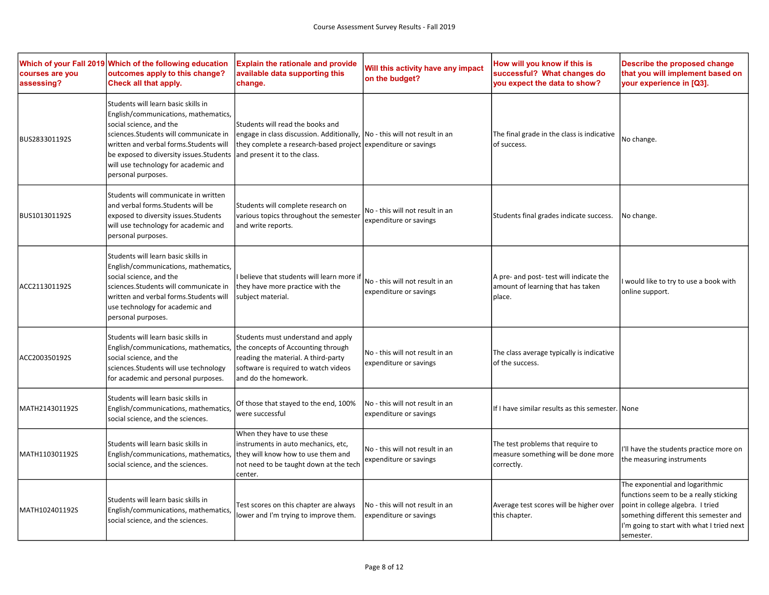| courses are you<br>assessing? | Which of your Fall 2019 Which of the following education<br>outcomes apply to this change?<br>Check all that apply.                                                                                                                                                                                   | <b>Explain the rationale and provide</b><br>available data supporting this<br>change.                                                                                                                           | Will this activity have any impact<br>on the budget?      | How will you know if this is<br>successful? What changes do<br>you expect the data to show? | Describe the proposed change<br>that you will implement based on<br>your experience in [Q3].                                                                                                                      |
|-------------------------------|-------------------------------------------------------------------------------------------------------------------------------------------------------------------------------------------------------------------------------------------------------------------------------------------------------|-----------------------------------------------------------------------------------------------------------------------------------------------------------------------------------------------------------------|-----------------------------------------------------------|---------------------------------------------------------------------------------------------|-------------------------------------------------------------------------------------------------------------------------------------------------------------------------------------------------------------------|
| BUS283301192S                 | Students will learn basic skills in<br>English/communications, mathematics,<br>social science, and the<br>sciences. Students will communicate in<br>written and verbal forms. Students will<br>be exposed to diversity issues. Students<br>will use technology for academic and<br>personal purposes. | Students will read the books and<br>engage in class discussion. Additionally,  No - this will not result in an<br>they complete a research-based project expenditure or savings<br>and present it to the class. |                                                           | The final grade in the class is indicative<br>of success.                                   | No change.                                                                                                                                                                                                        |
| BUS101301192S                 | Students will communicate in written<br>and verbal forms. Students will be<br>exposed to diversity issues. Students<br>will use technology for academic and<br>personal purposes.                                                                                                                     | Students will complete research on<br>various topics throughout the semester<br>and write reports.                                                                                                              | No - this will not result in an<br>expenditure or savings | Students final grades indicate success.                                                     | No change.                                                                                                                                                                                                        |
| ACC211301192S                 | Students will learn basic skills in<br>English/communications, mathematics,<br>social science, and the<br>sciences. Students will communicate in<br>written and verbal forms. Students will<br>use technology for academic and<br>personal purposes.                                                  | I believe that students will learn more if<br>they have more practice with the<br>subject material.                                                                                                             | No - this will not result in an<br>expenditure or savings | A pre- and post- test will indicate the<br>amount of learning that has taken<br>place.      | would like to try to use a book with<br>online support.                                                                                                                                                           |
| ACC200350192S                 | Students will learn basic skills in<br>English/communications, mathematics,<br>social science, and the<br>sciences. Students will use technology<br>for academic and personal purposes.                                                                                                               | Students must understand and apply<br>the concepts of Accounting through<br>reading the material. A third-party<br>software is required to watch videos<br>and do the homework.                                 | No - this will not result in an<br>expenditure or savings | The class average typically is indicative<br>of the success.                                |                                                                                                                                                                                                                   |
| MATH214301192S                | Students will learn basic skills in<br>English/communications, mathematics,<br>social science, and the sciences.                                                                                                                                                                                      | Of those that stayed to the end, 100%<br>were successful                                                                                                                                                        | No - this will not result in an<br>expenditure or savings | If I have similar results as this semester. None                                            |                                                                                                                                                                                                                   |
| MATH110301192S                | Students will learn basic skills in<br>English/communications, mathematics,<br>social science, and the sciences.                                                                                                                                                                                      | When they have to use these<br>instruments in auto mechanics, etc,<br>they will know how to use them and<br>not need to be taught down at the tech<br>center.                                                   | No - this will not result in an<br>expenditure or savings | The test problems that require to<br>measure something will be done more<br>correctly.      | 'Il have the students practice more on<br>the measuring instruments                                                                                                                                               |
| MATH102401192S                | Students will learn basic skills in<br>English/communications, mathematics,<br>social science, and the sciences.                                                                                                                                                                                      | Test scores on this chapter are always<br>ower and I'm trying to improve them.                                                                                                                                  | No - this will not result in an<br>expenditure or savings | Average test scores will be higher over<br>this chapter.                                    | The exponential and logarithmic<br>functions seem to be a really sticking<br>point in college algebra. I tried<br>something different this semester and<br>I'm going to start with what I tried next<br>semester. |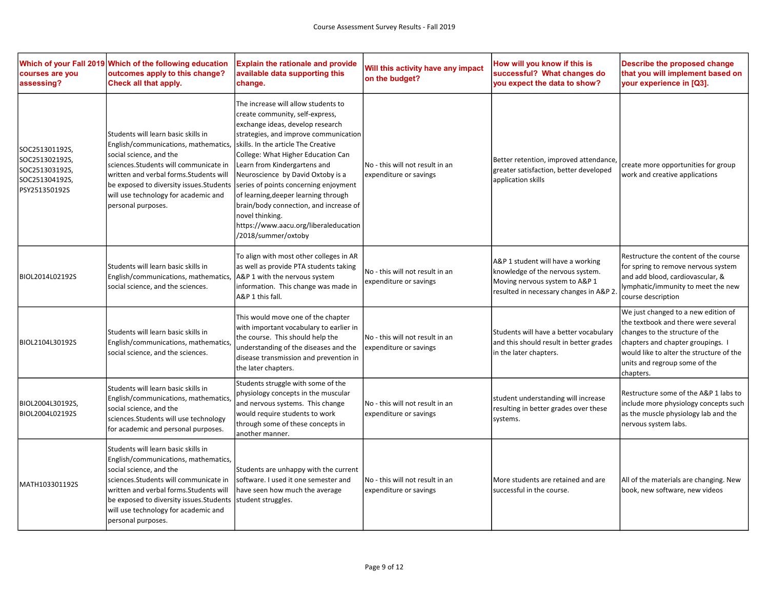| courses are you<br>assessing?                                                         | Which of your Fall 2019 Which of the following education<br>outcomes apply to this change?<br>Check all that apply.                                                                                                                                                                                   | <b>Explain the rationale and provide</b><br>available data supporting this<br>change.                                                                                                                                                                                                                                                                                                                                                                                                                               | Will this activity have any impact<br>on the budget?      | How will you know if this is<br>successful? What changes do<br>you expect the data to show?                                                        | Describe the proposed change<br>that you will implement based on<br>your experience in [Q3].                                                                                                                                                 |
|---------------------------------------------------------------------------------------|-------------------------------------------------------------------------------------------------------------------------------------------------------------------------------------------------------------------------------------------------------------------------------------------------------|---------------------------------------------------------------------------------------------------------------------------------------------------------------------------------------------------------------------------------------------------------------------------------------------------------------------------------------------------------------------------------------------------------------------------------------------------------------------------------------------------------------------|-----------------------------------------------------------|----------------------------------------------------------------------------------------------------------------------------------------------------|----------------------------------------------------------------------------------------------------------------------------------------------------------------------------------------------------------------------------------------------|
| SOC251301192S,<br>SOC251302192S,<br>SOC251303192S,<br>SOC251304192S,<br>PSY251350192S | Students will learn basic skills in<br>English/communications, mathematics,<br>social science, and the<br>sciences. Students will communicate in<br>written and verbal forms. Students will<br>be exposed to diversity issues. Students<br>will use technology for academic and<br>personal purposes. | The increase will allow students to<br>create community, self-express,<br>exchange ideas, develop research<br>strategies, and improve communication<br>skills. In the article The Creative<br>College: What Higher Education Can<br>Learn from Kindergartens and<br>Neuroscience by David Oxtoby is a<br>series of points concerning enjoyment<br>of learning, deeper learning through<br>brain/body connection, and increase of<br>novel thinking.<br>https://www.aacu.org/liberaleducation<br>/2018/summer/oxtoby | No - this will not result in an<br>expenditure or savings | Better retention, improved attendance,<br>greater satisfaction, better developed<br>application skills                                             | create more opportunities for group<br>work and creative applications                                                                                                                                                                        |
| BIOL2014L02192S                                                                       | Students will learn basic skills in<br>English/communications, mathematics,<br>social science, and the sciences.                                                                                                                                                                                      | To align with most other colleges in AR<br>as well as provide PTA students taking<br>A&P 1 with the nervous system<br>information. This change was made in<br>A&P 1 this fall.                                                                                                                                                                                                                                                                                                                                      | No - this will not result in an<br>expenditure or savings | A&P 1 student will have a working<br>knowledge of the nervous system.<br>Moving nervous system to A&P 1<br>resulted in necessary changes in A&P 2. | Restructure the content of the course<br>for spring to remove nervous system<br>and add blood, cardiovascular, &<br>lymphatic/immunity to meet the new<br>course description                                                                 |
| BIOL2104L30192S                                                                       | Students will learn basic skills in<br>English/communications, mathematics,<br>social science, and the sciences.                                                                                                                                                                                      | This would move one of the chapter<br>with important vocabulary to earlier in<br>the course. This should help the<br>understanding of the diseases and the<br>disease transmission and prevention in<br>the later chapters.                                                                                                                                                                                                                                                                                         | No - this will not result in an<br>expenditure or savings | Students will have a better vocabulary<br>and this should result in better grades<br>in the later chapters.                                        | We just changed to a new edition of<br>the textbook and there were several<br>changes to the structure of the<br>chapters and chapter groupings. I<br>would like to alter the structure of the<br>units and regroup some of the<br>chapters. |
| BIOL2004L30192S,<br>BIOL2004L02192S                                                   | Students will learn basic skills in<br>English/communications, mathematics,<br>social science, and the<br>sciences. Students will use technology<br>for academic and personal purposes.                                                                                                               | Students struggle with some of the<br>physiology concepts in the muscular<br>and nervous systems. This change<br>would require students to work<br>through some of these concepts in<br>another manner.                                                                                                                                                                                                                                                                                                             | No - this will not result in an<br>expenditure or savings | student understanding will increase<br>resulting in better grades over these<br>systems.                                                           | Restructure some of the A&P 1 labs to<br>include more physiology concepts such<br>as the muscle physiology lab and the<br>nervous system labs.                                                                                               |
| MATH103301192S                                                                        | Students will learn basic skills in<br>English/communications, mathematics,<br>social science, and the<br>sciences. Students will communicate in<br>written and verbal forms. Students will<br>be exposed to diversity issues. Students<br>will use technology for academic and<br>personal purposes. | Students are unhappy with the current<br>software. I used it one semester and<br>have seen how much the average<br>student struggles.                                                                                                                                                                                                                                                                                                                                                                               | No - this will not result in an<br>expenditure or savings | More students are retained and are<br>successful in the course.                                                                                    | All of the materials are changing. New<br>book, new software, new videos                                                                                                                                                                     |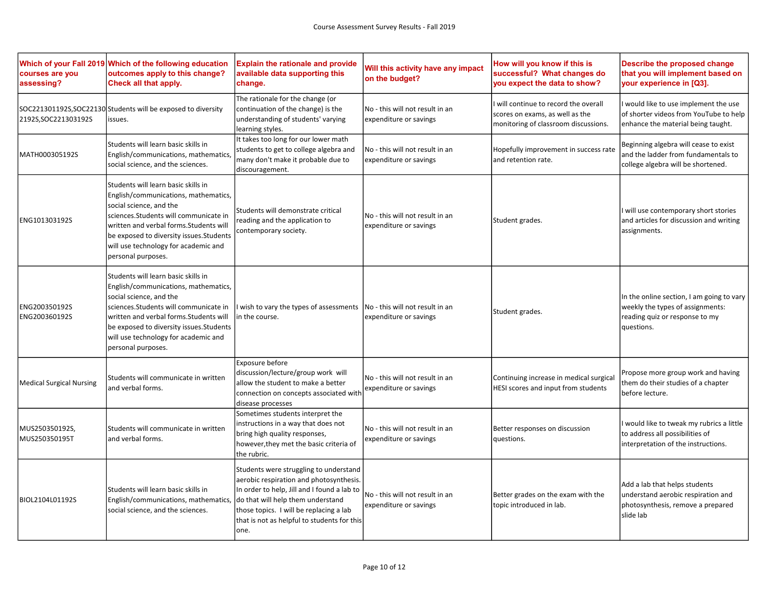| courses are you<br>assessing?   | Which of your Fall 2019 Which of the following education<br>outcomes apply to this change?<br>Check all that apply.                                                                                                                                                                                   | <b>Explain the rationale and provide</b><br>available data supporting this<br>change.                                                                                                                                                                                   | Will this activity have any impact<br>on the budget?      | How will you know if this is<br>successful? What changes do<br>you expect the data to show?                    | Describe the proposed change<br>that you will implement based on<br>your experience in [Q3].                                  |
|---------------------------------|-------------------------------------------------------------------------------------------------------------------------------------------------------------------------------------------------------------------------------------------------------------------------------------------------------|-------------------------------------------------------------------------------------------------------------------------------------------------------------------------------------------------------------------------------------------------------------------------|-----------------------------------------------------------|----------------------------------------------------------------------------------------------------------------|-------------------------------------------------------------------------------------------------------------------------------|
| 2192S, SOC 221303192S           | SOC221301192S, SOC22130 Students will be exposed to diversity<br>issues.                                                                                                                                                                                                                              | The rationale for the change (or<br>continuation of the change) is the<br>understanding of students' varying<br>learning styles.                                                                                                                                        | No - this will not result in an<br>expenditure or savings | will continue to record the overall<br>scores on exams, as well as the<br>monitoring of classroom discussions. | would like to use implement the use<br>of shorter videos from YouTube to help<br>enhance the material being taught.           |
| MATH000305192S                  | Students will learn basic skills in<br>English/communications, mathematics,<br>social science, and the sciences.                                                                                                                                                                                      | It takes too long for our lower math<br>students to get to college algebra and<br>many don't make it probable due to<br>discouragement.                                                                                                                                 | No - this will not result in an<br>expenditure or savings | Hopefully improvement in success rate<br>and retention rate.                                                   | Beginning algebra will cease to exist<br>and the ladder from fundamentals to<br>college algebra will be shortened.            |
| ENG101303192S                   | Students will learn basic skills in<br>English/communications, mathematics,<br>social science, and the<br>sciences. Students will communicate in<br>written and verbal forms. Students will<br>be exposed to diversity issues. Students<br>will use technology for academic and<br>personal purposes. | Students will demonstrate critical<br>reading and the application to<br>contemporary society.                                                                                                                                                                           | No - this will not result in an<br>expenditure or savings | Student grades.                                                                                                | I will use contemporary short stories<br>and articles for discussion and writing<br>assignments.                              |
| ENG200350192S<br>ENG200360192S  | Students will learn basic skills in<br>English/communications, mathematics,<br>social science, and the<br>sciences. Students will communicate in<br>written and verbal forms. Students will<br>be exposed to diversity issues. Students<br>will use technology for academic and<br>personal purposes. | wish to vary the types of assessments<br>in the course.                                                                                                                                                                                                                 | No - this will not result in an<br>expenditure or savings | Student grades.                                                                                                | In the online section, I am going to vary<br>weekly the types of assignments:<br>reading quiz or response to my<br>questions. |
| <b>Medical Surgical Nursing</b> | Students will communicate in written<br>and verbal forms.                                                                                                                                                                                                                                             | Exposure before<br>discussion/lecture/group work will<br>allow the student to make a better<br>connection on concepts associated with<br>disease processes                                                                                                              | No - this will not result in an<br>expenditure or savings | Continuing increase in medical surgical<br>HESI scores and input from students                                 | Propose more group work and having<br>them do their studies of a chapter<br>before lecture.                                   |
| MUS250350192S,<br>MUS250350195T | Students will communicate in written<br>and verbal forms.                                                                                                                                                                                                                                             | Sometimes students interpret the<br>instructions in a way that does not<br>bring high quality responses,<br>however, they met the basic criteria of<br>the rubric.                                                                                                      | No - this will not result in an<br>expenditure or savings | Better responses on discussion<br>questions.                                                                   | I would like to tweak my rubrics a little<br>to address all possibilities of<br>interpretation of the instructions.           |
| BIOL2104L01192S                 | Students will learn basic skills in<br>English/communications, mathematics,<br>social science, and the sciences.                                                                                                                                                                                      | Students were struggling to understand<br>aerobic respiration and photosynthesis.<br>In order to help, Jill and I found a lab to<br>do that will help them understand<br>those topics. I will be replacing a lab<br>that is not as helpful to students for this<br>one. | No - this will not result in an<br>expenditure or savings | Better grades on the exam with the<br>topic introduced in lab.                                                 | Add a lab that helps students<br>understand aerobic respiration and<br>photosynthesis, remove a prepared<br>slide lab         |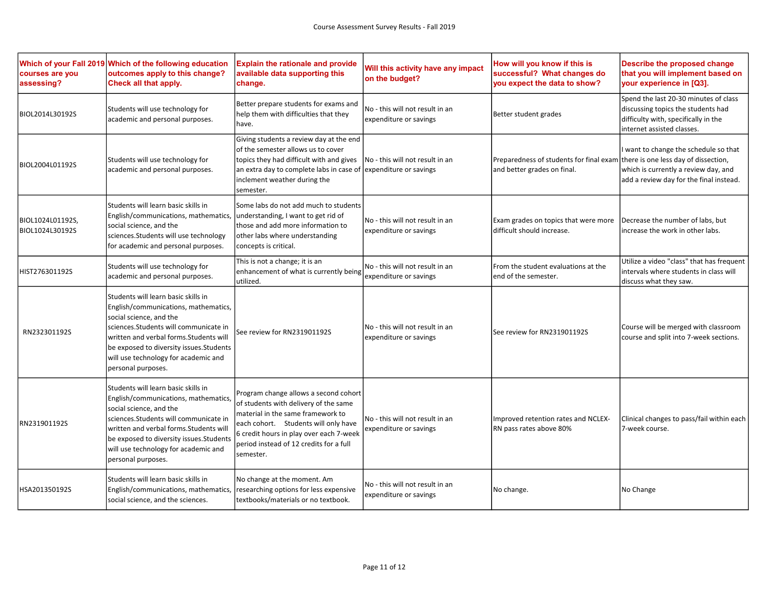| courses are you<br>assessing?       | Which of your Fall 2019 Which of the following education<br>outcomes apply to this change?<br>Check all that apply.                                                                                                                                                                                   | <b>Explain the rationale and provide</b><br>available data supporting this<br>change.                                                                                                                                                                          | Will this activity have any impact<br>on the budget?      | How will you know if this is<br>successful? What changes do<br>you expect the data to show?                 | Describe the proposed change<br>that you will implement based on<br>your experience in [Q3].                                                      |
|-------------------------------------|-------------------------------------------------------------------------------------------------------------------------------------------------------------------------------------------------------------------------------------------------------------------------------------------------------|----------------------------------------------------------------------------------------------------------------------------------------------------------------------------------------------------------------------------------------------------------------|-----------------------------------------------------------|-------------------------------------------------------------------------------------------------------------|---------------------------------------------------------------------------------------------------------------------------------------------------|
| BIOL2014L30192S                     | Students will use technology for<br>academic and personal purposes.                                                                                                                                                                                                                                   | Better prepare students for exams and<br>help them with difficulties that they<br>have.                                                                                                                                                                        | No - this will not result in an<br>expenditure or savings | Better student grades                                                                                       | Spend the last 20-30 minutes of class<br>discussing topics the students had<br>difficulty with, specifically in the<br>internet assisted classes. |
| BIOL2004L01192S                     | Students will use technology for<br>academic and personal purposes.                                                                                                                                                                                                                                   | Giving students a review day at the end<br>of the semester allows us to cover<br>topics they had difficult with and gives<br>an extra day to complete labs in case of lexpenditure or savings<br>inclement weather during the<br>semester.                     | No - this will not result in an                           | Preparedness of students for final exam there is one less day of dissection,<br>and better grades on final. | I want to change the schedule so that<br>which is currently a review day, and<br>add a review day for the final instead.                          |
| BIOL1024L01192S,<br>BIOL1024L30192S | Students will learn basic skills in<br>English/communications, mathematics,<br>social science, and the<br>sciences. Students will use technology<br>for academic and personal purposes.                                                                                                               | Some labs do not add much to students<br>understanding, I want to get rid of<br>those and add more information to<br>other labs where understanding<br>concepts is critical.                                                                                   | No - this will not result in an<br>expenditure or savings | Exam grades on topics that were more<br>difficult should increase.                                          | Decrease the number of labs, but<br>increase the work in other labs.                                                                              |
| HIST276301192S                      | Students will use technology for<br>academic and personal purposes.                                                                                                                                                                                                                                   | This is not a change; it is an<br>enhancement of what is currently being<br>utilized.                                                                                                                                                                          | No - this will not result in an<br>expenditure or savings | From the student evaluations at the<br>end of the semester.                                                 | Utilize a video "class" that has frequent<br>intervals where students in class will<br>discuss what they saw.                                     |
| RN232301192S                        | Students will learn basic skills in<br>English/communications, mathematics,<br>social science, and the<br>sciences. Students will communicate in<br>written and verbal forms. Students will<br>be exposed to diversity issues. Students<br>will use technology for academic and<br>personal purposes. | See review for RN231901192S                                                                                                                                                                                                                                    | No - this will not result in an<br>expenditure or savings | See review for RN231901192S                                                                                 | Course will be merged with classroom<br>course and split into 7-week sections.                                                                    |
| RN231901192S                        | Students will learn basic skills in<br>English/communications, mathematics,<br>social science, and the<br>sciences. Students will communicate in<br>written and verbal forms. Students will<br>be exposed to diversity issues. Students<br>will use technology for academic and<br>personal purposes. | Program change allows a second cohort<br>of students with delivery of the same<br>material in the same framework to<br>each cohort. Students will only have<br>6 credit hours in play over each 7-week<br>period instead of 12 credits for a full<br>semester. | No - this will not result in an<br>expenditure or savings | Improved retention rates and NCLEX-<br>RN pass rates above 80%                                              | Clinical changes to pass/fail within each<br>7-week course.                                                                                       |
| HSA201350192S                       | Students will learn basic skills in<br>English/communications, mathematics,<br>social science, and the sciences.                                                                                                                                                                                      | No change at the moment. Am<br>researching options for less expensive<br>textbooks/materials or no textbook.                                                                                                                                                   | No - this will not result in an<br>expenditure or savings | No change.                                                                                                  | No Change                                                                                                                                         |